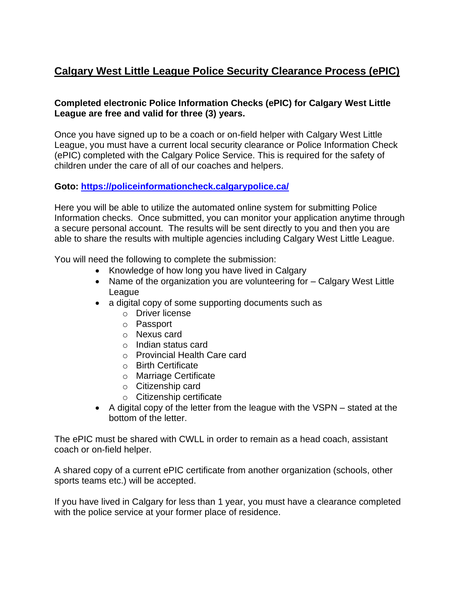## **Calgary West Little League Police Security Clearance Process (ePIC)**

## **Completed electronic Police Information Checks (ePIC) for Calgary West Little League are free and valid for three (3) years.**

Once you have signed up to be a coach or on-field helper with Calgary West Little League, you must have a current local security clearance or Police Information Check (ePIC) completed with the Calgary Police Service. This is required for the safety of children under the care of all of our coaches and helpers.

## **Goto:<https://policeinformationcheck.calgarypolice.ca/>**

Here you will be able to utilize the automated online system for submitting Police Information checks. Once submitted, you can monitor your application anytime through a secure personal account. The results will be sent directly to you and then you are able to share the results with multiple agencies including Calgary West Little League.

You will need the following to complete the submission:

- Knowledge of how long you have lived in Calgary
- Name of the organization you are volunteering for Calgary West Little League
- a digital copy of some supporting documents such as
	- o Driver license
	- o Passport
	- o Nexus card
	- o Indian status card
	- o Provincial Health Care card
	- o Birth Certificate
	- o Marriage Certificate
	- o Citizenship card
	- o Citizenship certificate
- A digital copy of the letter from the league with the VSPN stated at the bottom of the letter.

The ePIC must be shared with CWLL in order to remain as a head coach, assistant coach or on-field helper.

A shared copy of a current ePIC certificate from another organization (schools, other sports teams etc.) will be accepted.

If you have lived in Calgary for less than 1 year, you must have a clearance completed with the police service at your former place of residence.